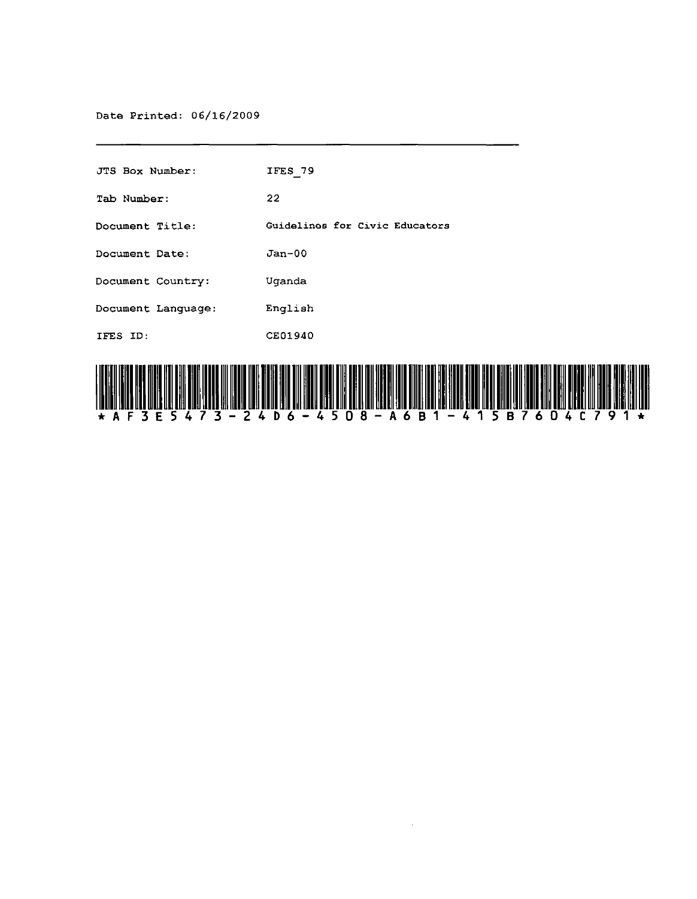Date Printed: 06/16/2009

| <u>, IT FAN IT HIT HIT HIT I</u> |                                |
|----------------------------------|--------------------------------|
| IFES ID:                         | <b>CE01940</b>                 |
| Document Language:               | English                        |
| Document Country:                | Uganda                         |
| Document Date:                   | $Jan-00$                       |
| Document Title:                  | Guidelines for Civic Educators |
| Tab Number:                      | 22                             |
| <b>JTS Box Number:</b>           | IFES 79                        |



 $\sim$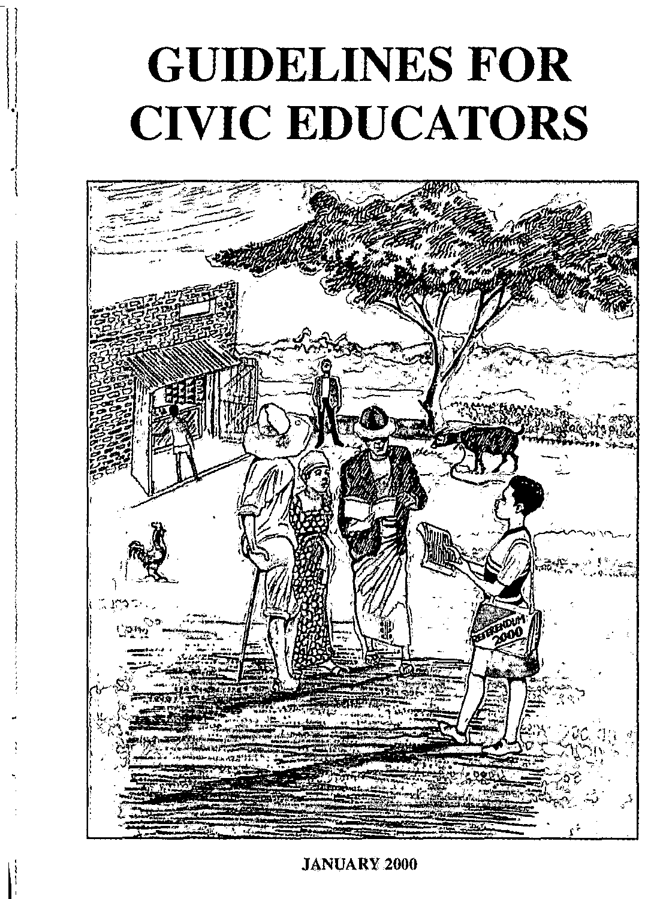# **GUIDELINES FOR CIVIC EDUCATORS**

 $\vert$  $\vert$ 

 $\begin{bmatrix} 1 \\ 1 \end{bmatrix}$ "



#### JANUARY 2000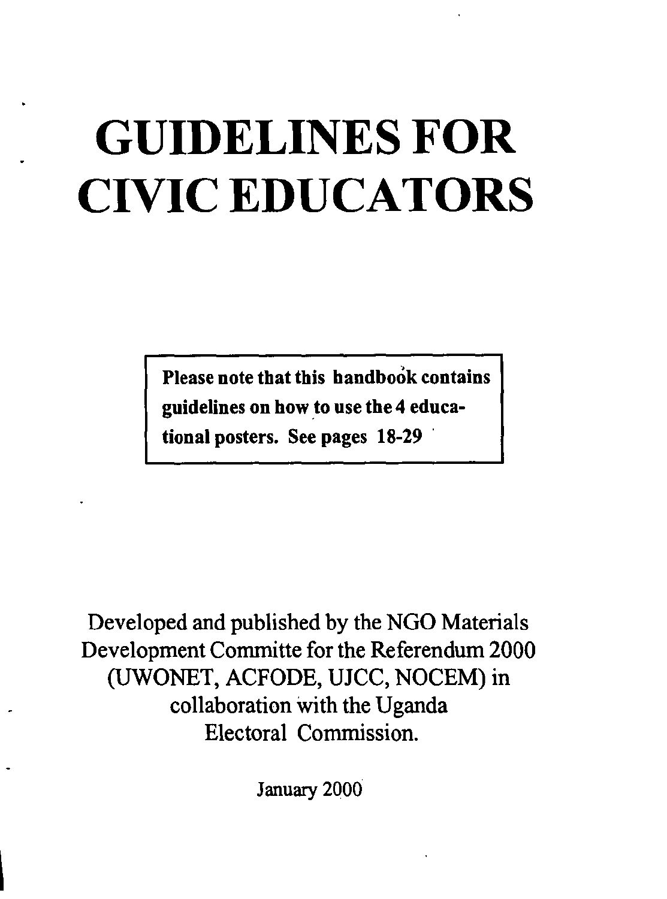# **GUIDELINES FOR CIVIC EDUCATORS**

Please note that this handbook contains guidelines on how to use the 4 educational posters. See pages 18-29 .

Developed and published by the NGO Materials Development Committe for the Referendum 2000 (UWONET, ACFODE, UJCC, NOCEM) in collaboration With the Uganda Electoral Commission.

January 2000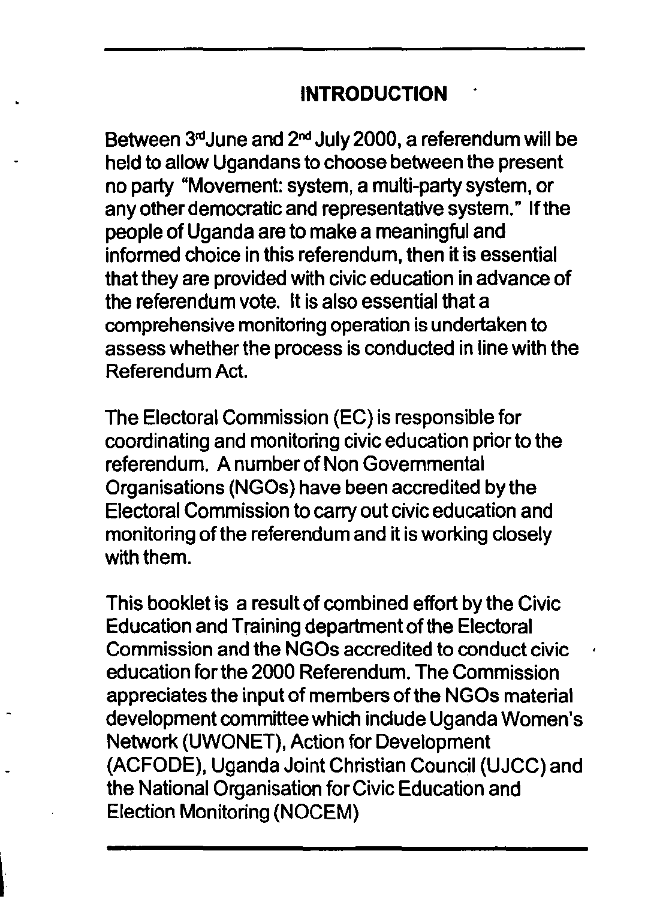#### **INTRODUCTION**

Between 3rdJune and 2nd July 2000, a referendum will be held to allow Ugandans to choose between the present no party "Movement: system, a multi-party system, or any other democratic and representative system." If the people of Uganda are to make a meaningful and informed choice in this referendum, then it is essential that they are provided with civic education in advance of the referendum vote. It is also essential that a comprehensive monitoring operation is undertaken to assess whether the process is conducted in line with the Referendum Act.

**The** Electoral Commission (EC) is responsible for coordinating and monitoring civic education prior to the referendum. A number of Non Governmental Organisations (NGOs) have been accredited by the Electoral Commission to carry out civic education and monitoring of the referendum and it is working closely with them.

This booklet is a result of combined effort by the Civic Education and Training department of the Electoral Commission and the NGOs accredited to conduct civic education for the 2000 Referendum. **The** Commission appreciates the input of members of the NGOs material development committee which include Uganda Women's Network (UWONET), Action for Development (ACFODE), Uganda Joint Christian Council (UJCC) and the National Organisation for Civic Education and Election MonitOring (NOCEM)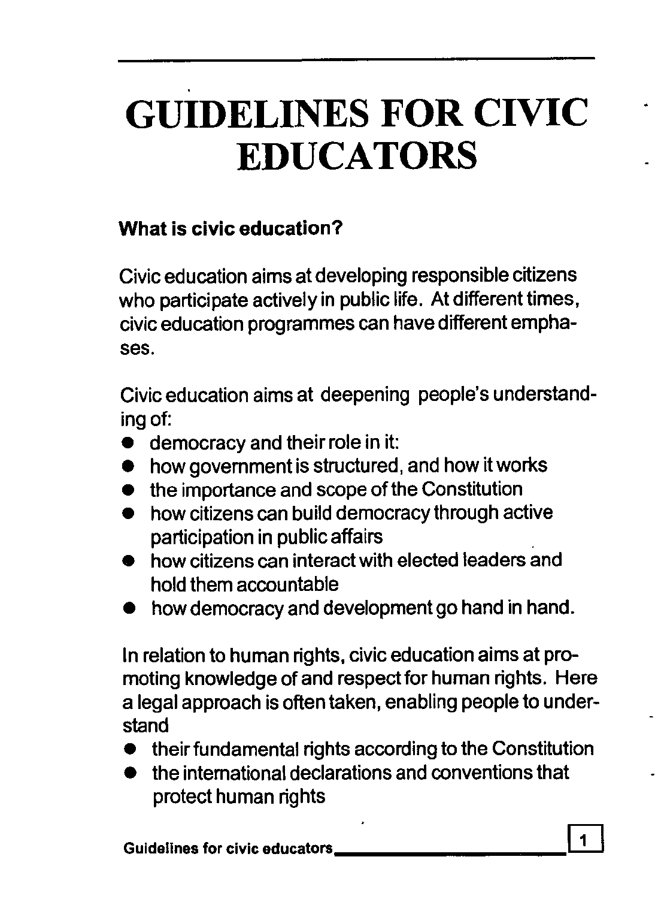# **GUIDELINES FOR CIVIC EDUCATORS**

#### What is civic education?

Civic education aims at developing responsible citizens who participate actively in public life. At different times, civic education programmes can have different emphases.

Civic education aims at deepening people's understanding of:

- **•** democracy and their role in it:
- how government is structured, and how it works
- the importance and scope of the Constitution
- how citizens can build democracy through active participation in public affairs
- how citizens can interact with elected leaders and hold them accountable
- how democracy and development go hand in hand.

In relation to human rights, civic education aims at promoting knowledge of and respect for human rights. Here a legal approach is often taken, enabling people to understand

- their fundamental rights according to the Constitution
- the intemational declarations and conventions that protect human rights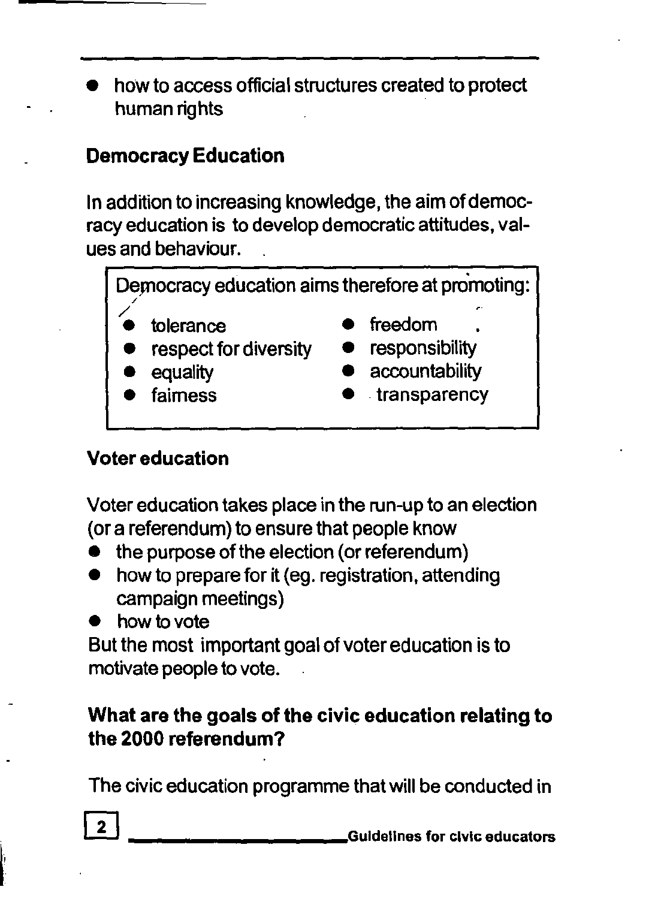• how to access official structures created to protect human rights

# Democracy Education

In addition to increasing knowledge, the aim of democracy education is to develop democratic attitudes, values and behaviour.

Democracy education aims therefore at promoting: / / tolerance **•** freedom .<br>
respect for diversity **•** responsibility respect for diversity equality **•** accountability<br> **•** transparency

• transparency

# Voter education

Voter education takes place in the run-up to an election (or a referendum) to ensure that people know

- the purpose of the election (or referendum)
- how to prepare for it (eg. registration, attending campaign meetings)
- how to vote

But the most important goal of voter education is to motivate people to vote.

### What are the goals of the civic education relating to the 2000 referendum?

The civic education programme that will be conducted in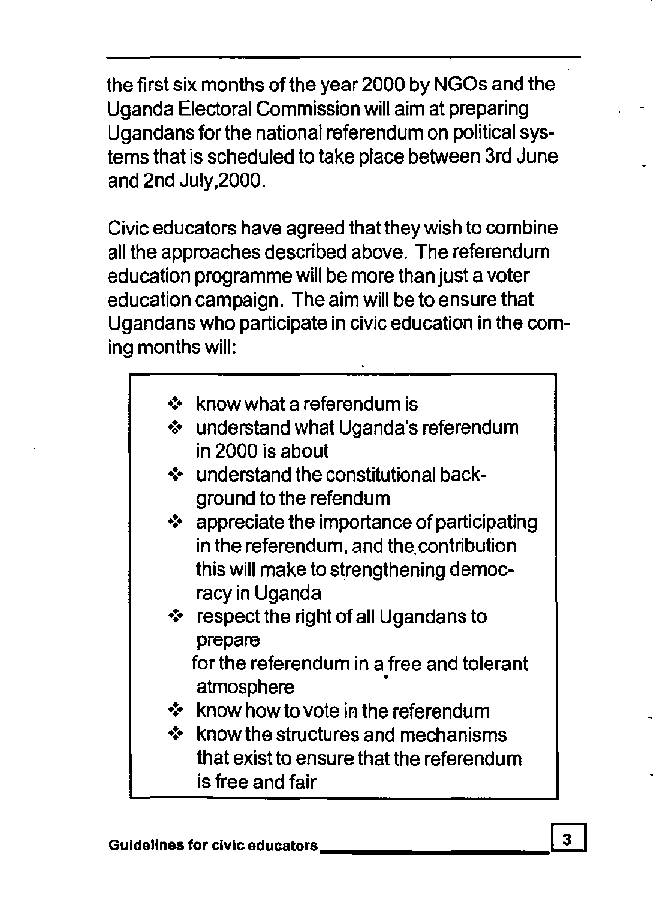the first six months of the year 2000 by NGOs and the Uganda Electoral Commission will aim at preparing Ugandans for the national referendum on political systems that is scheduled to take place between 3rd June and 2nd Ju1Y,2000.

Civic educators have agreed that they wish to combine all the approaches described above. The referendum education programme will be more than just a voter education campaign. The aim will be to ensure that Ugandans who participate in civic education in the coming months will:

- $\div$  know what a referendum is
- ❖ understand what Uganda's referendum in 2000 is about
- ❖ understand the constitutional background to the refendum
- $\cdot$  appreciate the importance of participating in the referendum, and the. contribution this will make to strengthening democracy in Uganda
- ❖ respect the right of all Ugandans to prepare

for the referendum in a free and tolerant atmosphere

- $\div$  know how to vote in the referendum
- $\div$  know the structures and mechanisms that exist to ensure that the referendum is free and fair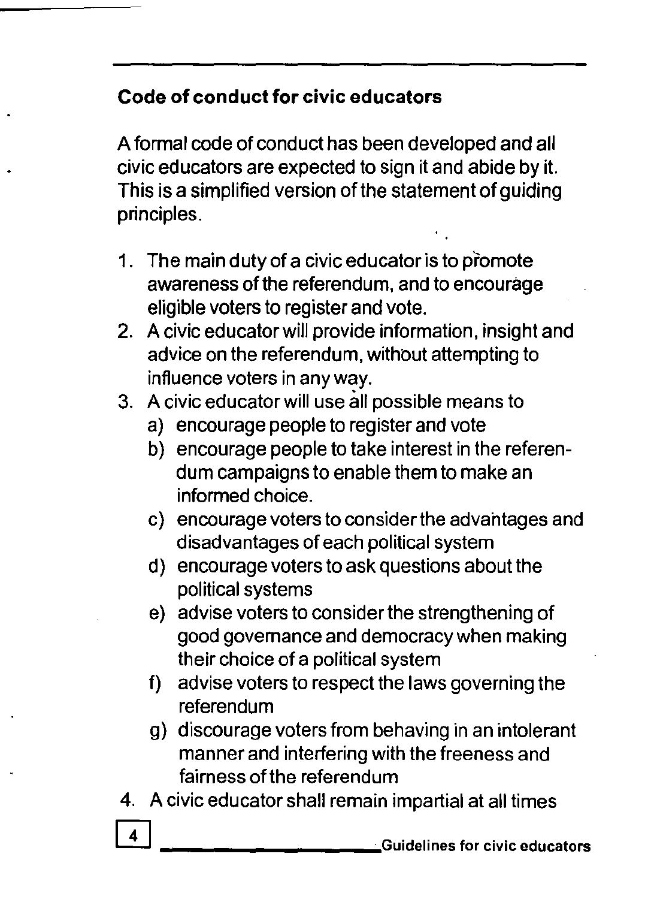#### **Code of conduct for civic educators**

A formal code of conduct has been developed and all civic educators are expected to sign it and abide by it. This is a simplified version of the statement of guiding principles.

- 1. The main duty of a civic educator is to promote awareness of the referendum, and to encourage eligible voters to register and vote.
- 2. A civic educator will provide information, insight and advice on the referendum, without attempting to influence voters in any way.
- 3. A civic educator will use all possible means to
	- a) encourage people to register and vote
	- b) encourage people to take interest in the referendum campaigns to enable them to make an informed choice.
	- c) encourage voters to consider the advahtages and disadvantages of each political system
	- d) encourage voters to ask questions about the political systems
	- e) advise voters to consider the strengthening of good govemance and democracy when making their choice of a political system
	- f) advise voters to respect the laws governing the referendum
	- g) discourage voters from behaving in an intolerant manner and interfering with the freeness and fairness of the referendum
- 4. A civic educator shall remain impartial at all times
	- W **\_\_\_\_\_\_\_\_\_ ",;,..** Guidelines for civic educators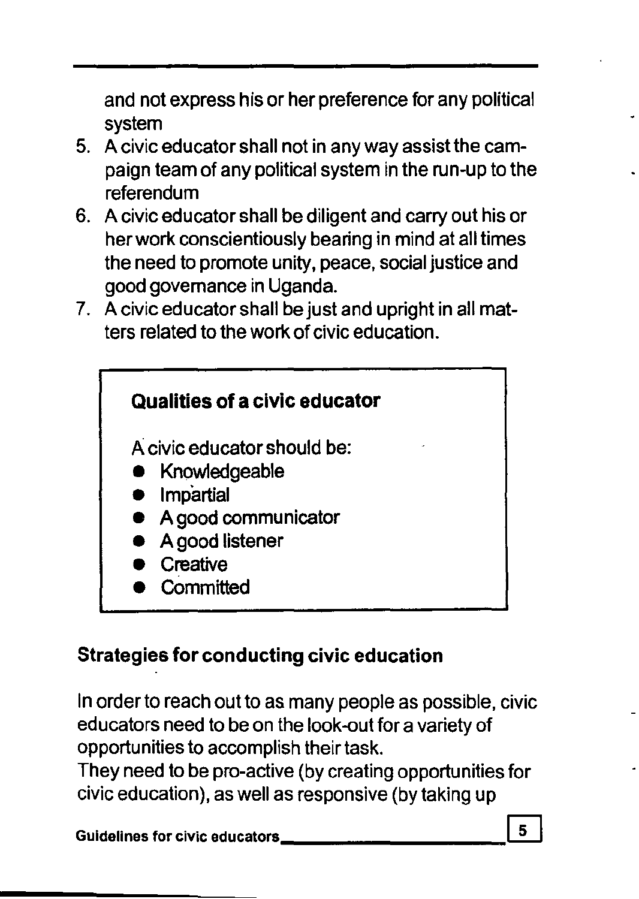and not express his or her preference for any political system

- 5. A civic educator shall not in any way assist the campaign team of any political system in the run-up to the referendum
- 6. A civic educator shall be diligent and carry out his or her work conscientiously bearing in mind at all times the need to promote unity, peace, social justice and good govemance in Uganda.
- 7. A civic educator shall be just and upright in all matters related to the work of civic education.



### Strategies for conducting civic education

In order to reach out to as many people as possible, civic educators need to be on the look-out for a variety of opportunities to accomplish their task.

They need to be pro-active (by creating opportunities for civic education), as well as responsive (by taking up

Guidelines for civic educators \_\_\_\_\_\_\_\_\_\_\_\_\_\_\_\_\_\_\_\_\_\_\_\_\_\_\_\_\_\_\_\_\_\_\_5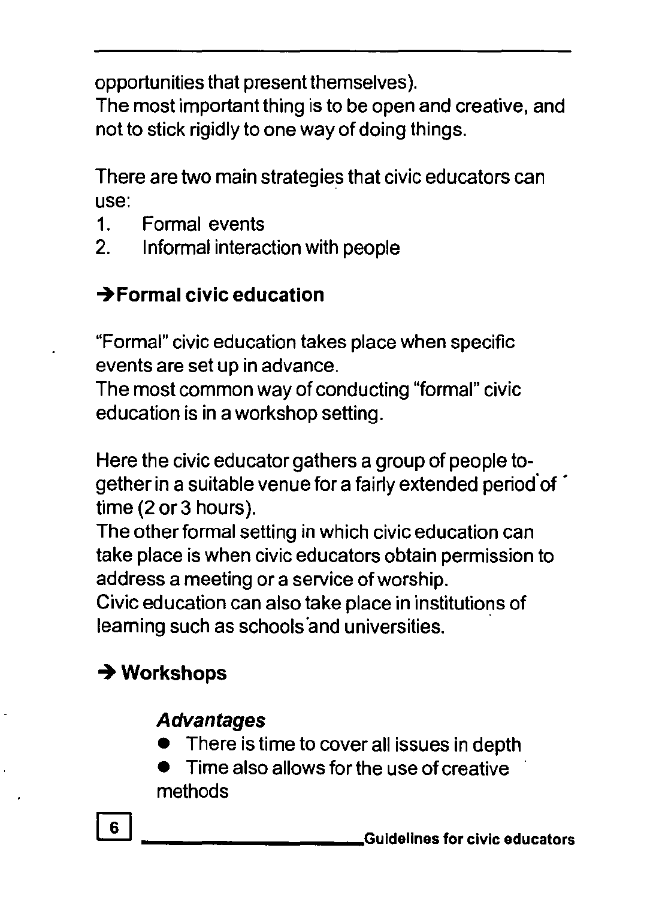opportunities that present themselves).

The most important thing is to be open and creative, and not to stick rigidly to one way of doing things.

There are two main strategies that civic educators can use:

- 1. Formal events
- 2. Informal interaction with people

# $\rightarrow$ Formal civic education

"Formal" civic education takes place when specific events are set up in advance.

The most common way of conducting "formal" civic education is in a workshop setting.

Here the civic educator gathers a group of people together in a suitable venue for a fairly extended period of  $\hat{\ }$ time (2 or 3 hours).

The other formal setting in which civic education can take place is when civic educators obtain permission to address a meeting or a service ofworship.

Civic education can also take place in institutions of leaming such as schools'and universities. .

# **-+ Workshops**

# **Advantages**

- There is time to cover all issues in depth
- Time also allows for the use of creative methods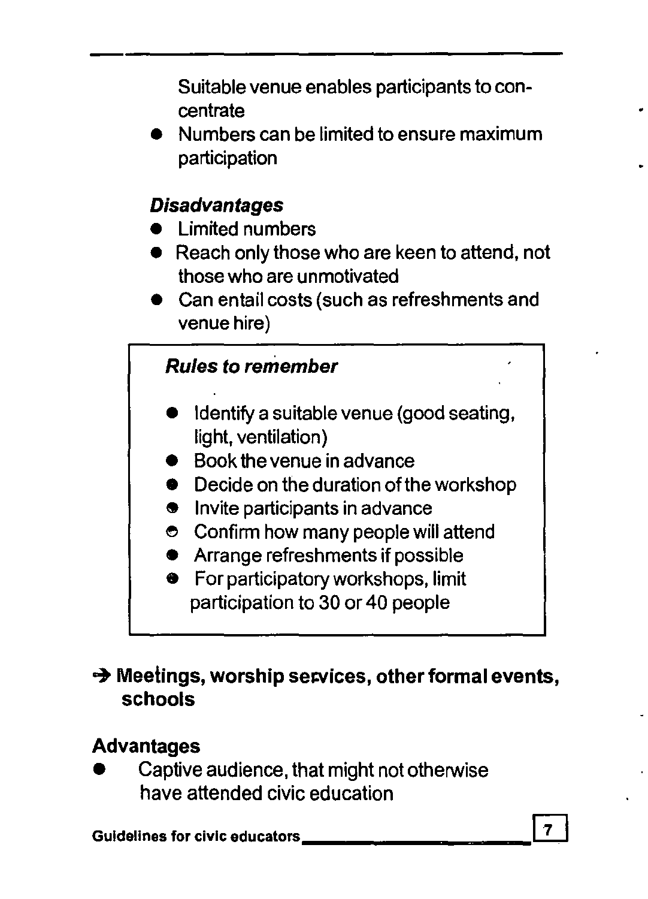Suitable venue enables participants to concentrate

• Numbers can be limited to ensure maximum participation

# **Disadvantages**

- **Limited numbers**
- Reach only those who are keen to attend, not those who are unmotivated
- Can entail costs (such as refreshments and venue hire)

### Rules to remember

- Identify a suitable venue (good seating, light, ventilation)
- Book the venue in advance
- Decide on the duration of the workshop
- **9** Invite participants in advance
- e Confirm how many people will attend
- **•** Arrange refreshments if possible
- **•** For participatory workshops, limit participation to 30 or 40 people

#### $\rightarrow$  Meetings, worship services, other formal events, schools

# Advantages

• Captive audience, that might not otherwise have attended civic education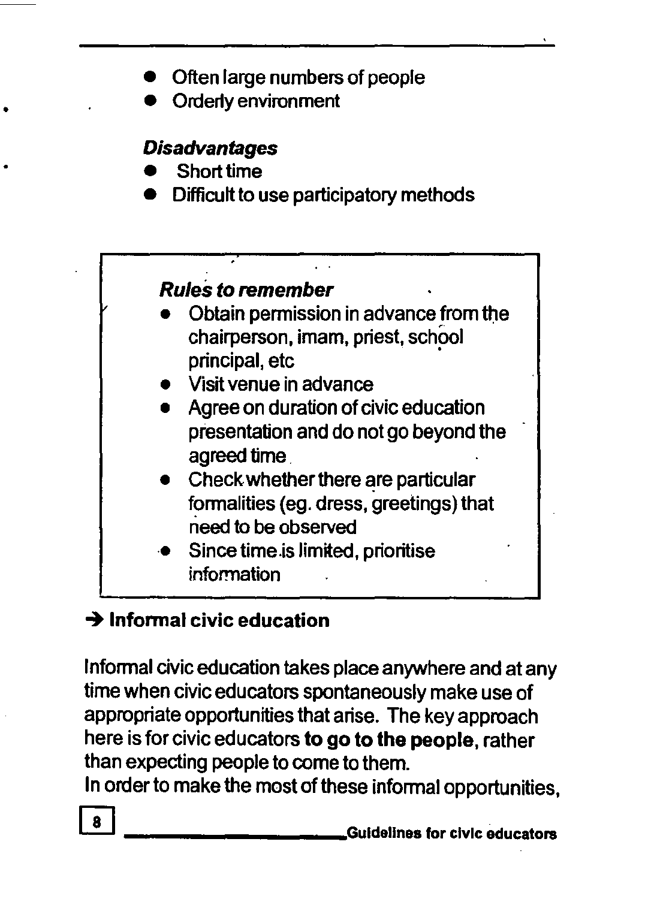- Often large numbers of people
- Orderly environment

#### **Disadvantages**

• Short time

•

• Difficult to use participatory methods

#### Rules to remember

- Obtain permission in advance from the chairperson, imam, priest, school principal, etc
- Visit venue in advance
- Agree on duration of civic education presentation and do not go beyond the agreed time.
- Check whether there are particular fonnalities (eg. dress, greetings) that rieed to be observed
- Since time.is limited, prioritise information

# $\rightarrow$  Informal civic education

Infonnal civic education takes place anywhere and at any time when civic educators spontaneously make use of appropriate opportunities that arise. The key approach here is for civic educators to go to the people, rather than expecting people to come to them.

In order to make the most of these infonnal opportunities,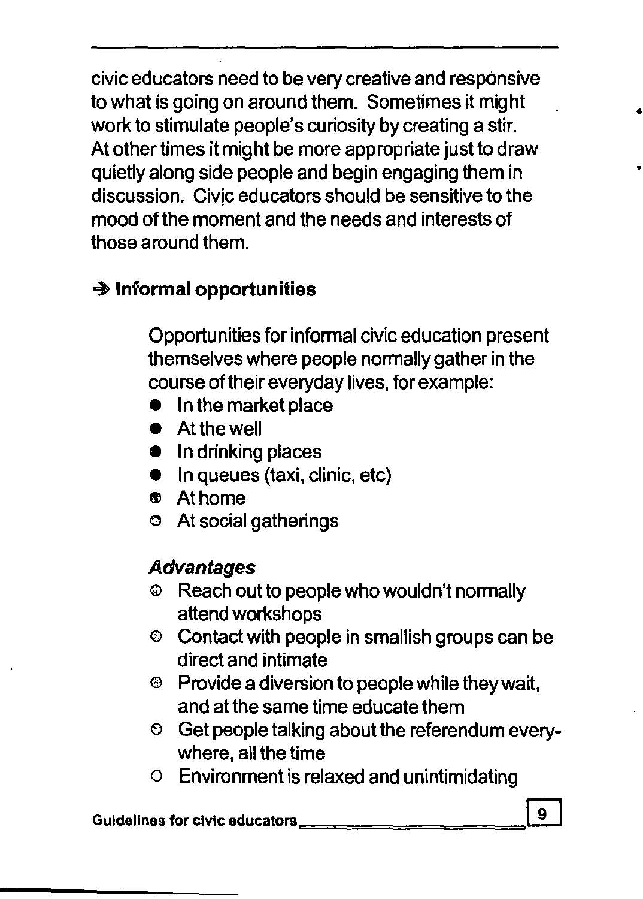civic educators need to be very creative and responsive to what is going on around them. Sometimes it.might work to stimulate people's curiosity by creating a stir. At other times it might be more appropriate just to draw quietly along side people and begin engaging them in discussion. Civic educators should be sensitive to the mood of the moment and the needs and interests of those around them.

# -+ **Informal opportunities**

Opportunities for informal civic education present themselves where people normally gather in the course of their everyday lives, for example:

- $\bullet$  In the market place
- **•** At the well
- In drinking places
- $\bullet$  in queues (taxi, clinic, etc)
- $\bullet$  Athome
- o At social gatherings

#### **Advantages**

- $\circledast$  Reach out to people who wouldn't normally attend workshops
- o Contact with people in smallish groups can be direct and intimate
- e Provide a diversion to people while they wait, and at the same time educate them
- $\degree$  Get people talking about the referendum everywhere, all the time
- o Environment is relaxed and unintimidating

Guidelines for civic educatOrB=========W

•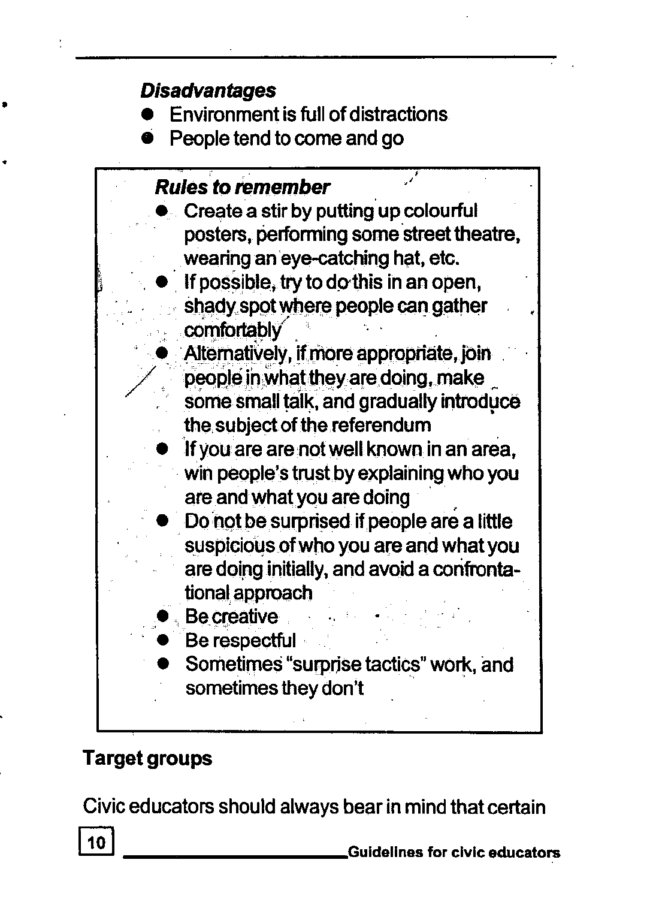#### • **Disadvantages**

- Environment is full of distractions
- People tend to come and go



# **Target groups**

Civic educators should always bear in mind that certain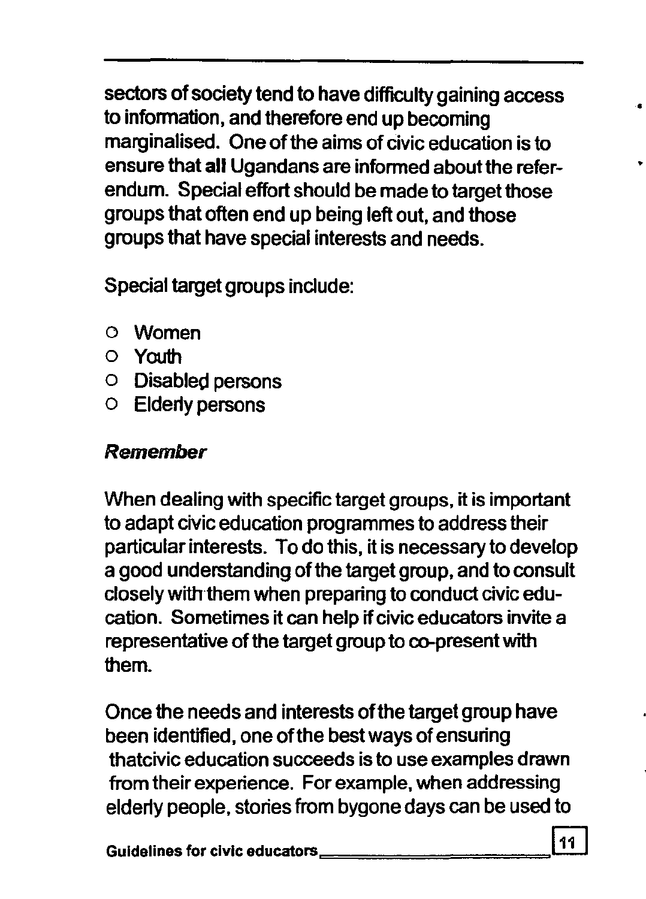sectors of society tend to have difficulty gaining access to information, and therefore end up becoming marginalised. One of the aims of civic education is to ensure that **all** Ugandans are infonned about the referendum. Special effort should be made to target those groups that often end up being left out, and those groups that have special interests and needs.

Special target groups include:

- o Women
- o Youth
- o Disabled persons
- o Elderly persons

#### Remember

When dealing with specific target groups, it is important to adapt civic education programmes to address their particular interests. To do this, it is necessary to develop a good understanding of the target group, and to consult closely with them when preparing to conduct civic education. Sometimes it can help if civic educators invite a representative of the target group to co-present with them.

Once the needs and interests of the target group have been identified, one of the best ways of ensuring thatcivic education succeeds is to use examples drawn from their experience. For example, when addressing elderly people, stories from bygone days can be used to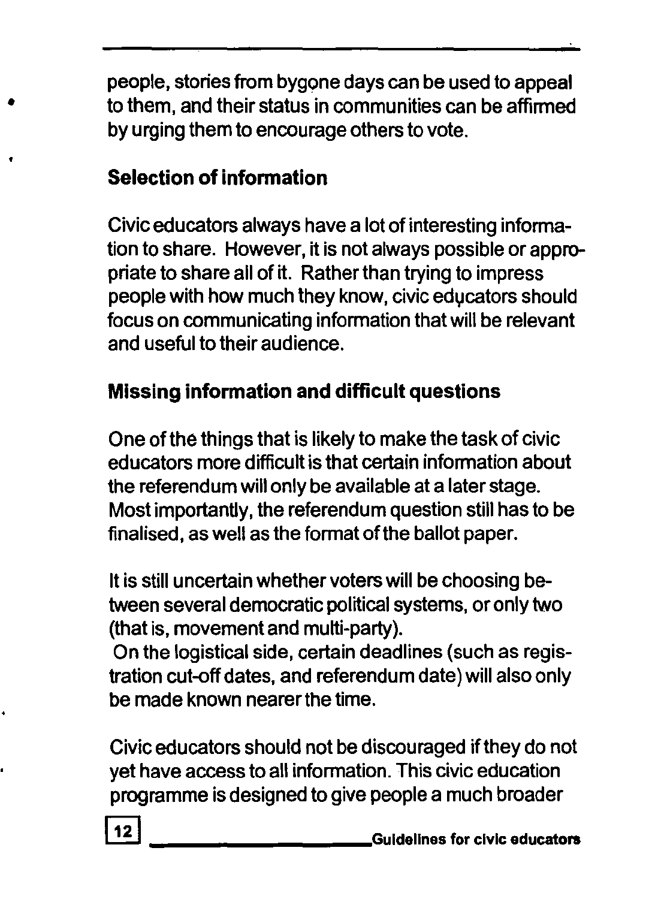people, stories from bygone days can be used to appeal to them, and their status in communities can be affirmed by urging them to encourage others to vote.

# **Selection of information**

•

Civic educators always have a lot of interesting information to share. However, it is not always possible or appropriate to share all of it. Rather than trying to impress people with how much they know, civic educators should focus on communicating information that will be relevant and useful to their audience.

#### Missing **information and difficult** questions

One of the things that is likely to make the task of civic educators more difficult is that certain information about the referendum will only be available at a later stage. Most importantly, the referendum question still has to be finalised, as well as the format of the ballot paper.

It is still uncertain whether voters will be choosing between several democratic political systems, or only two (that is, movement and multi-party).

On the logistical side, certain deadlines (such as registration cut-off dates, and referendum date) will also only be made known nearer the time.

Civic educators should not be discouraged ifthey do not yet have access to all information. This civic education programme is designed to give people a much broader

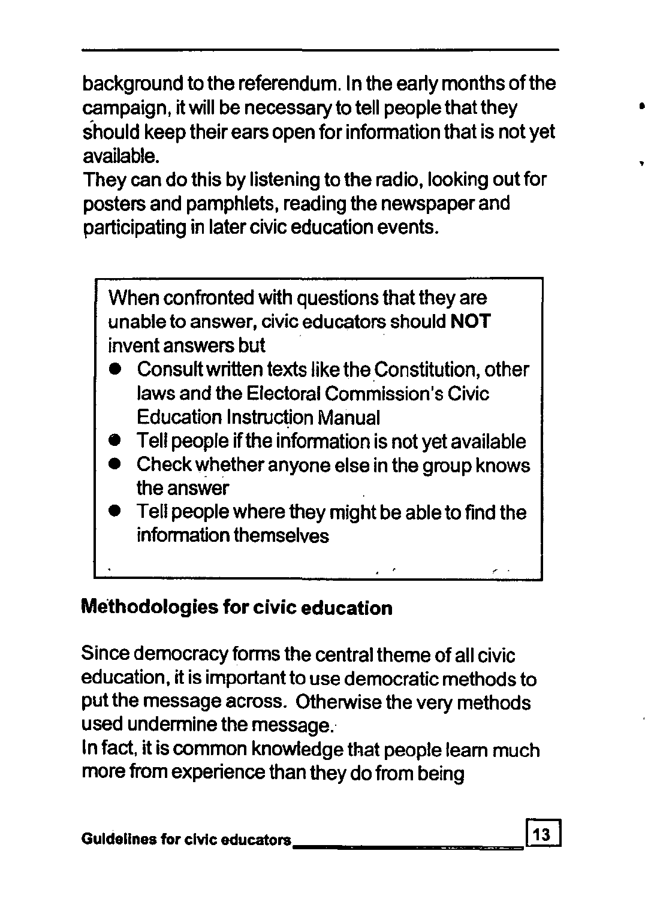background to the referendum. In the early months ofthe campaign, it will be necessary to tell people that they should keep their ears open for information that is not yet available.

They can do this by listening to the radio, looking out for posters and pamphlets, reading the newspaper and participating in later civic education events.



# Methodologies for civic education

Since democracy forms the central theme of all civic education, it is important to use democratic methods to put the message across. Otherwise the very methods used undermine the message.

In fact, it is common knowledge that people learn much more from experience than they do from being

•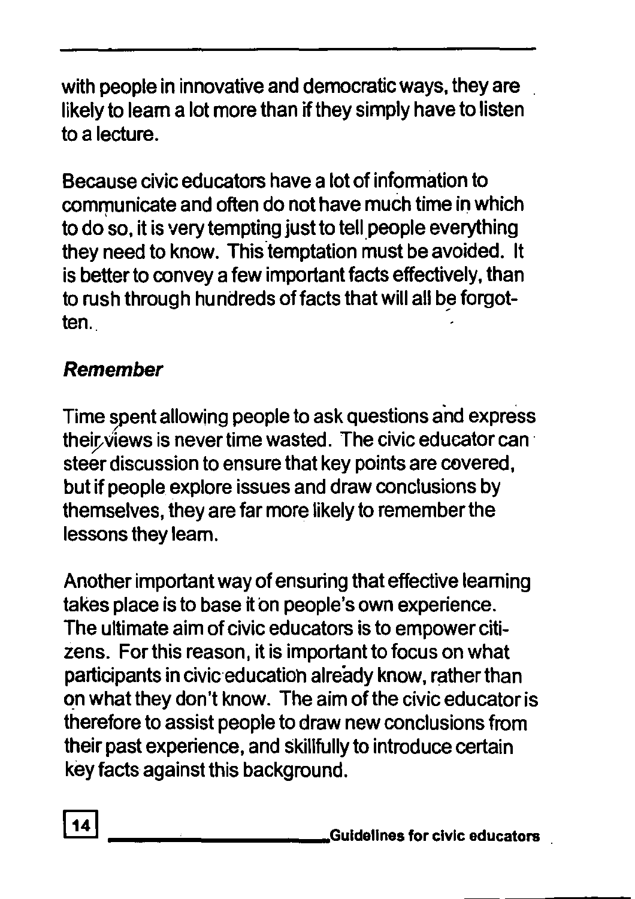with people in innovative and democratic ways, they are likely to leam a lot more than if they simply have to listen to a lecture.

Because civic educators have a lot of information to communicate and often do not have much time in which to do'so, it is very tempting just to tell people everything they need to know. This temptation must be avoided. It is better to convey a few important facts effectively, than to rush through hundreds of facts that will all be forgotten.

# **Remember**

Time spent allowing people to ask questions and express their views is never time wasted. The civic educator can steer discussion to ensure that key points are covered, but if people explore issues and draw conclusions by themselves, they are far more likely to remember the lessons they leam.

Another important way of ensuring that effective leaming takes place is to base it on people's own experience. The ultimate aim of civic educators is to empower citizens. For this reason, it is important to focus on what participants in civic education already know, rather than on what they don't know. The aim of the civic educator is therefore to assist people to draw new conclusions from their past experience, and skillfully to introduce certain key facts against this background.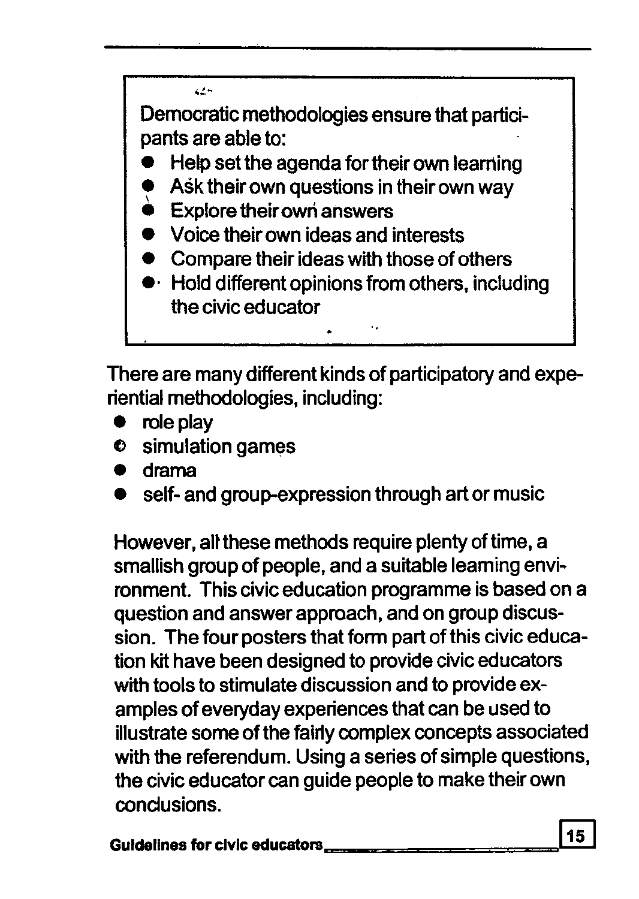بالأبد

Democratic methodologies ensure that participants are able to:

- Help set the agenda for their own learning
- Ask their own questions in their own way
- **Explore their own answers**
- e Voice their own ideas and interests
- Compare their ideas with those of others
- $\cdot\,$  Hold different opinions from others, including the civic educator

There are many different kinds of participatory and experiential methodologies, including:

- $\bullet$  role play
- Cl simulation games
- e drama
- self- and group-expression through art or music

However, all these methods require plenty of time, a smallish group of people, and a suitable leaming environment. This civic education programme is based on a question and answer approach, and on group discussion. The four posters that form part of this civic education kit have been designed to provide civic educators with tools to stimulate discussion and to provide examples of everyday experiences that can be used to illustrate some of the fairly complex concepts associated with the referendum. Using a series of simple questions, the civic educator can guide people to make their own conclusions.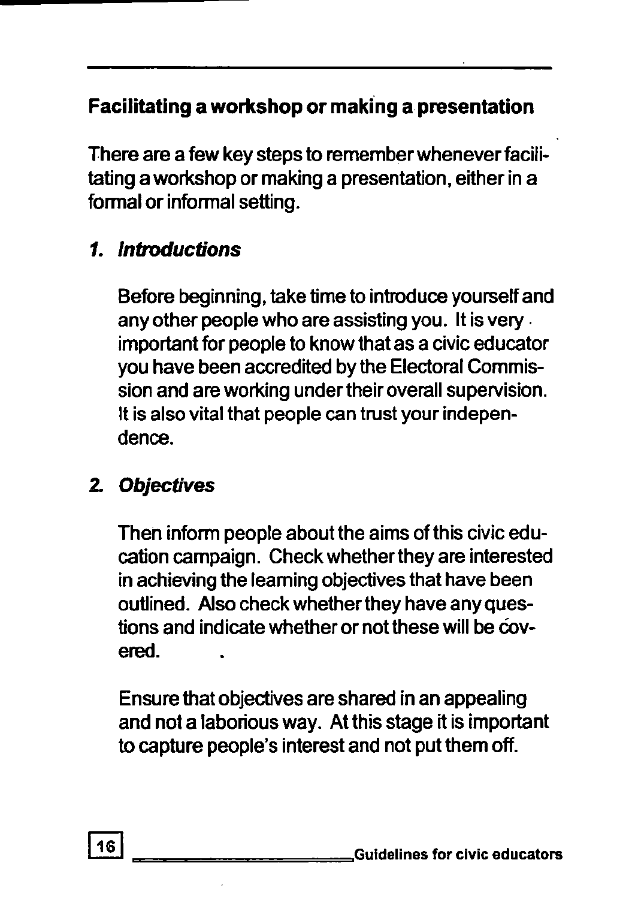# Facilitating a workshop or making a presentation

There are a few key steps to remember whenever facilitating a workshop or making a presentation, either in a formal or informal setting.

#### 1. Introductions

Before beginning, take time to introduce yourself and any other people who are assisting you. It is very . important for people to know that as a civic educator you have been accredited by the Electoral Commission and are working under their overall supervision. It is also vital that people can trust your independence.

#### *2.* Objectives

Then inform people about the aims of this civic education campaign. Check whether they are interested in achieving the leaming objectives that have been outlined. Also check whether they have any questions and indicate whether or not these will be covered.

Ensure that objectives are shared in an appealing and not a laborious way. At this stage it is important to capture people's interest and not put them off.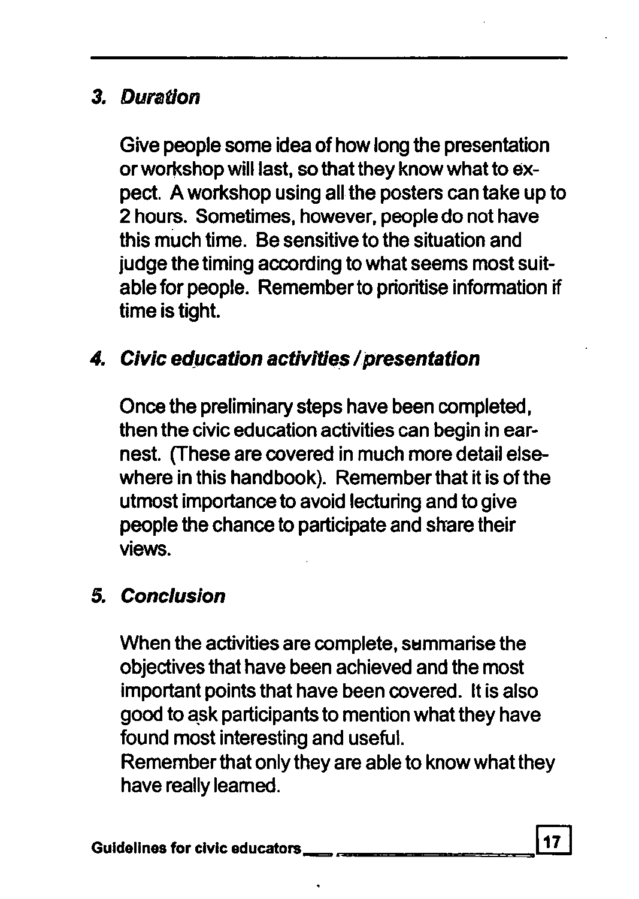#### 3. Duration

Give people some idea of how long the presentation or workshop will last, so that they know what to expect. A workshop using all the posters can take up to 2 hours. Sometimes, however, people do not have this much time. Be sensitive to the situation and judge the timing according to what seems most suitable for people. Remember to prioritise information if time is tight.

#### 4. Civic education activities / presentation

Once the preliminary steps have been completed, then the civic education activities can begin in earnest. (These are covered in much more detail elsewhere in this handbook). Remember that it is of the utmost importance to avoid lecturing and to give people the chance to participate and share their views.

#### 5. Conclusion

When the activities are complete, summarise the objectives that have been achieved and the most important points that have been covered. It is also good to ask participants to mention what they have found most interesting and useful.

Remember that only they are able to know what they have really learned.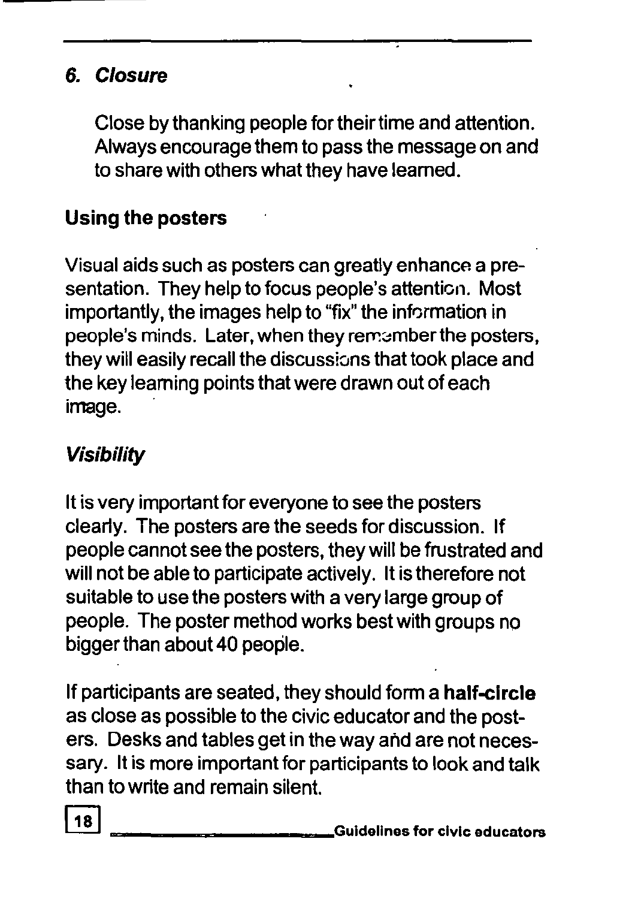# 6. Closure

Close by thanking people for their time and attention. Always encourage them to pass the message on and to share with others what they have leamed.

#### Using the posters

Visual aids such as posters can greatly enhance a presentation. They help to focus people's attention. Most importantly, the images help to "fix" the information in people's minds. Later, when they remember the posters, they will easily recall the discussions that took place and the key leaming points that were drawn out of each image.

#### Visibility

It is very important for everyone to see the posters clearly. The posters are the seeds for discussion. If people cannot see the posters, they will be frustrated and will not be able to participate actively. It is therefore not suitable to use the posters with a very large group of people. The poster method works best with groups no bigger than about 40 people.

If participants are seated, they should form a half-circle as close as possible to the civic educator and the posters. Desks and tables get in the way arid are not necessary. It is more important for participants to look and talk than to write and remain silent.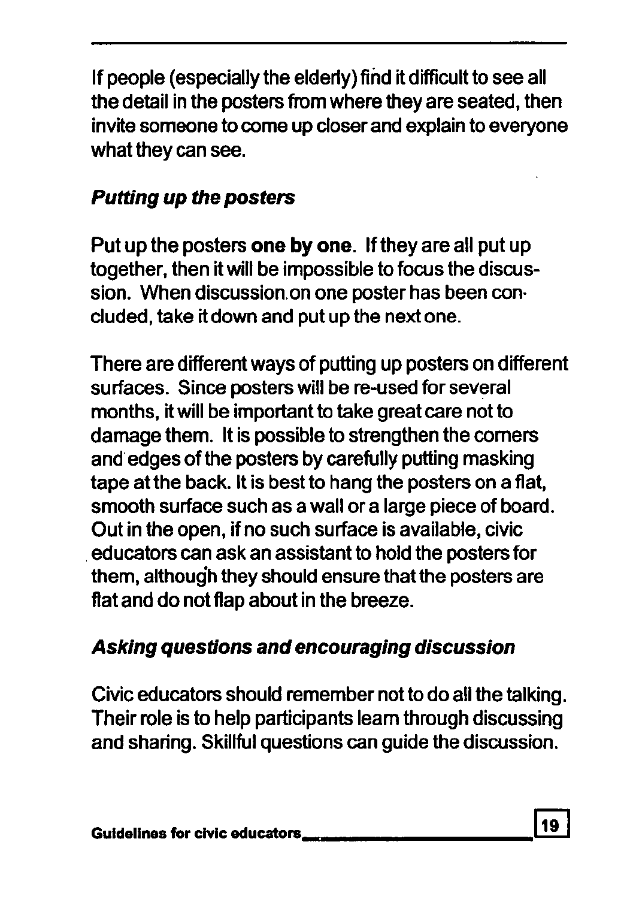If people (especially the elderly) find it difficult to see all the detail in the posters from where they are seated, then invite someone to come up closer and explain to everyone what they can see.

# Putting up the posters

Put up the posters one by one. If they are all put up together, then it will be impossible to focus the discussion. When discussion on one poster has been concluded, take it down and put up the next one.

There are different ways of putting up posters on different surfaces. Since posters will be re-used for several months, it will be important to take great care not to damage them. It is possible to strengthen the comers and edges of the posters by carefully putting masking tape at the back. It is best to hang the posters on a flat, smooth surface such as a wall or a large piece of board. Out in the open, if no such surface is available, civic . educators can ask an assistant to hold the posters for them, although they should ensure that the posters are flat and do not flap about in the breeze.

# Asking questions and encouraging discussion

Civic educators should remember not to do all the talking. Their role is to help participants learn through discussing and sharing. Skillful questions can guide the discussion.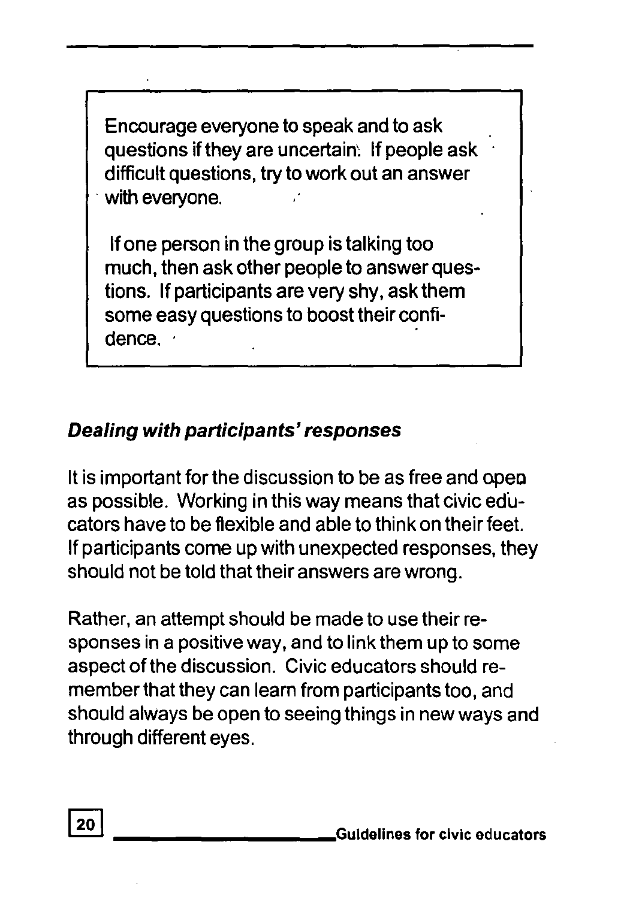Encourage everyone to speak and to ask questions if they are uncertain: If people ask difficult questions, try to work out an answer . with everyone.

If one person in the group is talking too much, then ask other people to answer questions. If participants are very shy, ask them some easy questions to boost their confidence.

#### Dealing with participants' responses

It is important for the discussion to be as free and open as possible. Working in this way means that civic educators have to be flexible and able to think on their feet. If participants come up with unexpected responses, they should not be told that their answers are wrong.

Rather, an attempt should be made to use their responses in a positive way, and to link them up to some aspect of the discussion. Civic educators should remember that they can learn from participants too, and should always be open to seeing things in new ways and through different eyes.

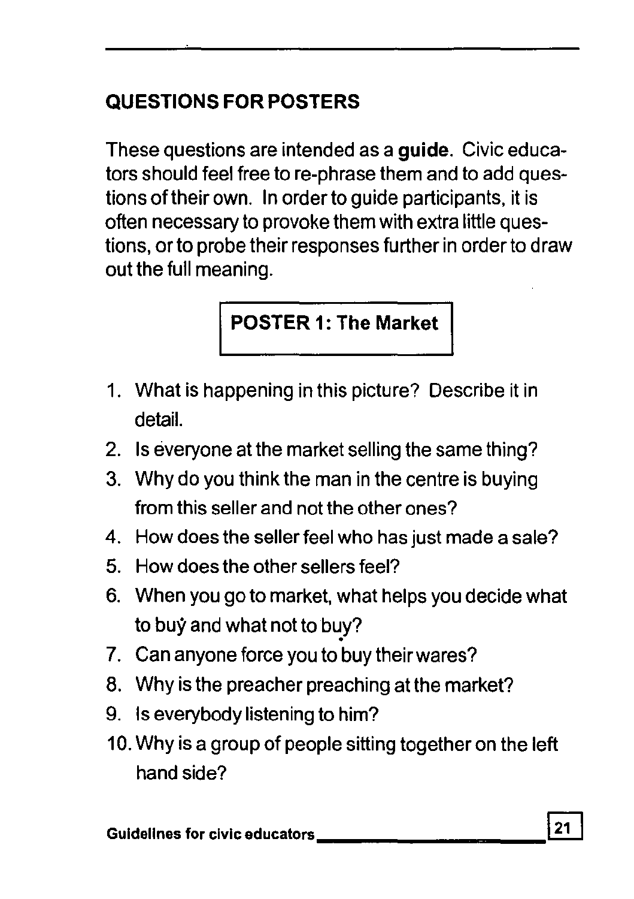# QUESTIONS FOR POSTERS

These questions are intended as a guide. Civic educators should feel free to re-phrase them and to add questions of their own. In order to guide participants, it is often necessary to provoke them with extra little questions, or to probe their responses further in order to draw out the full meaning.

### POSTER 1: The Market

- 1. What is happening in this picture? Describe it in detail.
- 2. Is everyone at the market selling the same thing?
- 3. Why do you think the man in the centre is buying from this seller and not the other ones?
- 4. How does the seller feel who has just made a sale?
- 5. How does the other sellers feel?
- 6. When you go to market, what helps you decide what to buy and what not to buy?
- 7. Can anyone force you to buy their wares?
- 8. Why is the preacher preaching at the market?
- 9. Is everybody listening to him?
- 10. Why is a group of people sitting together on the left hand side?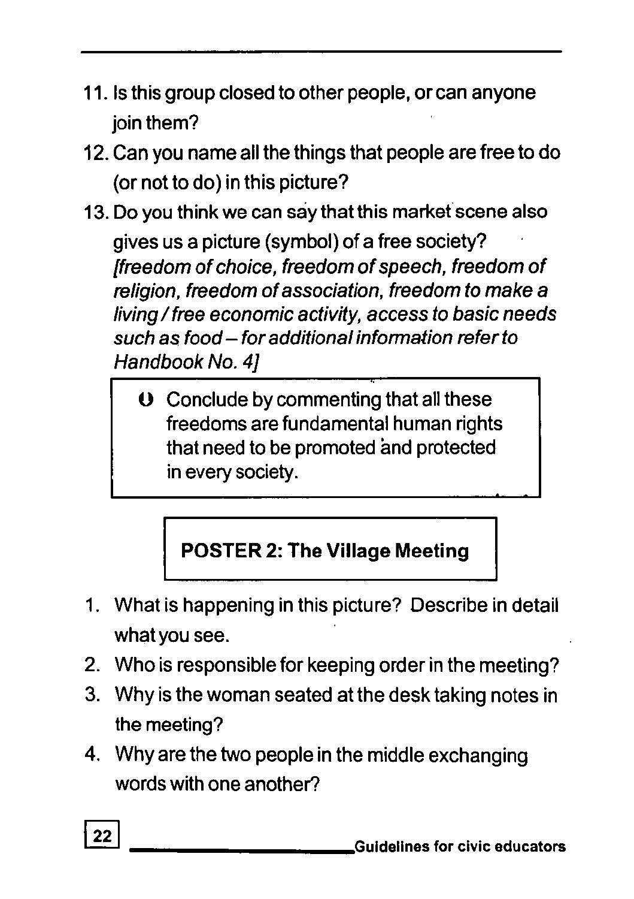- 11. Is this group closed to other people, or can anyone join them?
- 12. Can you name all the things that people are free to do (or not to do) in this picture?
- 13. Do you think we can say that this market scene also gives us a picture (symbol) of a free society? [freedom of choice, freedom of speech, freedom of religion, freedom of association, freedom to make a living / free economic activity, access to basic needs such as food - for additional information refer to Handbook No. 41
	- $\Theta$  Conclude by commenting that all these freedoms are fundamental human rights that need to be promoted and protected in every society.

# **POSTER 2: The Village Meeting**

- 1. What is happening in this picture? Describe in detail what you see.
- 2. Who is responsible for keeping order in the meeting?
- 3. Why is the woman seated at the desk taking notes in the meeting?
- 4. Why are the two people in the middle exchanging words with one another?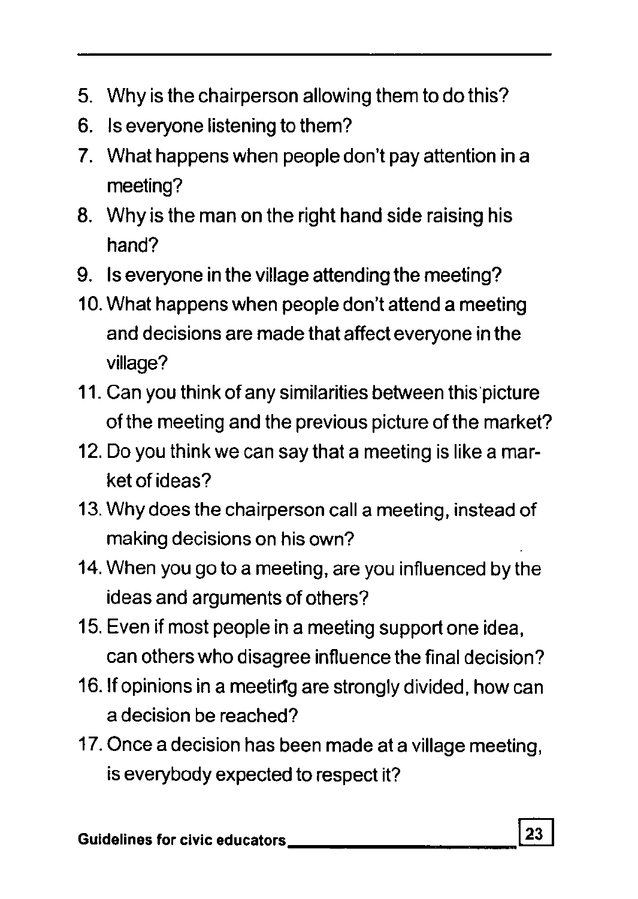- 5. Why is the chairperson allowing them to do this?
- 6. Is everyone listening to them?
- 7. What happens when people don't pay attention in a meeting?
- 8. Why is the man on the right hand side raising his hand?
- 9. Is everyone in the village attending the meeting?
- 10. What happens when people don't attend a meeting and decisions are made that affect everyone in the village?
- 11. Can you think of any similarities between this picture of the meeting and the previous picture of the market?
- 12. Do you think we can say that a meeting is like a market of ideas?
- 13. Why does the chairperson call a meeting, instead of making decisions on his own?
- 14. When you go to a meeting, are you influenced by the ideas and arguments of others?
- 15. Even if most people in a meeting support one idea, can others who disagree influence the final decision?
- 16. If opinions in a meeting are strongly divided, how can a decision be reached?
- 17. Once a decision has been made at a village meeting, is everybody expected to respect it?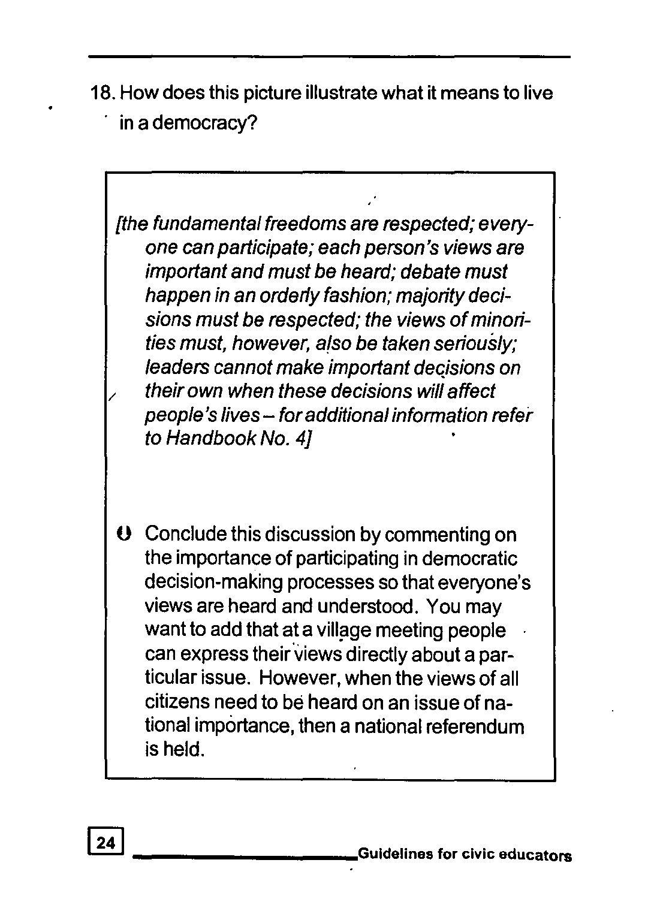18. How does this picture illustrate what it means to live in a democracy?

 [the fundamental freedoms are respected; everyone can participate; each person's views are important and must be heard; debate must happen in an orderly fashion; majority decisions must be respected; the views of minorities must, however. also be taken seriously; leaders cannot make important decisions on / their own when these decisions will affect people's lives - for additional information refer to Handbook No. 4J

 $\Theta$  Conclude this discussion by commenting on the importance of participating in democratic decision-making processes so that everyone's views are heard and understood. You may want to add that at a village meeting people can express their views directly about a particular issue. However, when the views of all citizens need to be heard on an issue of national importance, then a national referendum is held.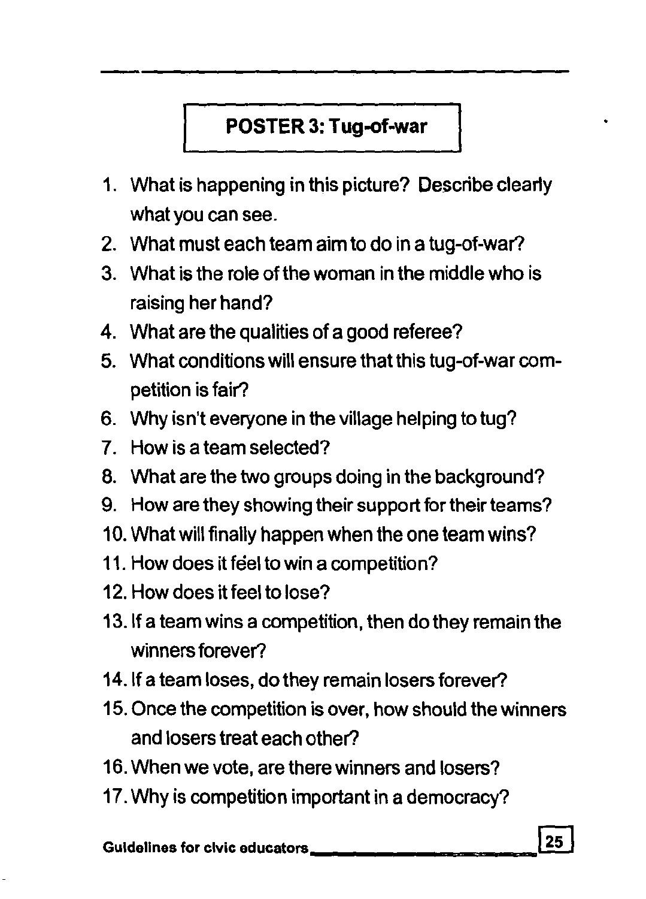# **POSTER 3: Tug-of-war**

- 1. What is happening in this picture? Describe clearly what you can see.
- 2. What must each team aim to do in a tug-of-war?
- 3. What is the role of the woman in the middle who is raising her hand?
- 4. What are the qualities of a good referee?
- 5. What conditions will ensure that this tug-of-war competition is fair?
- 6. Why isn't everyone in the village helping to tug?
- 7. How is a team selected?
- 8. What are the two groups doing in the background?
- 9. How are they showing their support for their teams?
- 10. What will finally happen when the one team wins?
- 11. How does it feel to win a competition?
- 12. How does it feel to lose?
- 13.lf a team wins a competition, then do they remain the winners forever?
- 14.lf a team loses, do they remain losers forever?
- 15. Once the competition is over, how should the winners and losers treat each other?
- 16. When we vote, are there winners and losers?
- 17. Why is competition important in a democracy?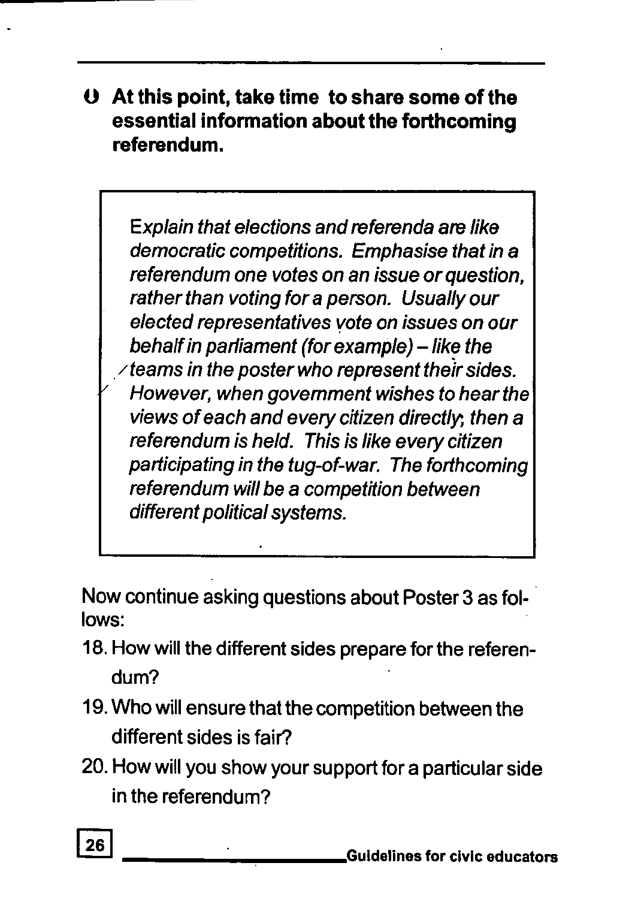**o At this point, take time to share some of the essential information about the forthcoming referendum.** 

Explain that elections and referenda are like democratic competitions. Emphasise that in a referendum one votes on an issue or question, rather than voting for a person. Usually our elected representatives vote on issues on our behalf in parliament (for example) - like the  $\angle$  teams in the poster who represent their sides. However, when government wishes to hear the views of each and every citizen directly; then a referendum is held. This is like every citizen participating in the tug-of-war. The forthcoming referendum will be a competition between different political systems.

Now continue asking questions about Poster 3 as fol- . lows:

- 18. How will the different sides prepare for the referendum?
- 19. Who will ensure that the competition between the different sides is fair?
- 20. How will you show your support for a particular side in the referendum?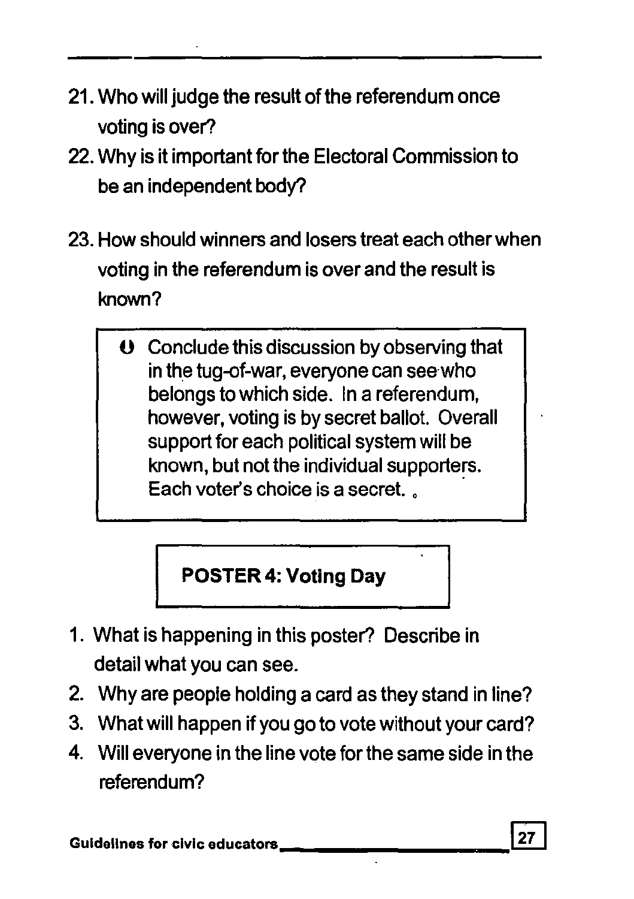- 21. Who will judge the result of the referendum once voting is over?
- 22. Why is it important for the Electoral Commission to be an independent body?
- 23. How should winners and losers treat each other when voting in the referendum is over and the result is known?
	- $\Theta$  Conclude this discussion by observing that in the tug-of-war, everyone can seewho belongs to which side. In a referendum, however, voting is by secret ballot. Overall support for each political system will be known, but not the individual supporters. Each voter's choice is a secret. , .

# **I POSTER 4: Voting Day**

- 1. What is happening in this poster? Describe in detail what you can see.
- 2. Why are people holding a card as they stand in line?
- 3. What will happen if you go to vote without your card?
- 4. Will everyone in the line vote for the same side in the referendum?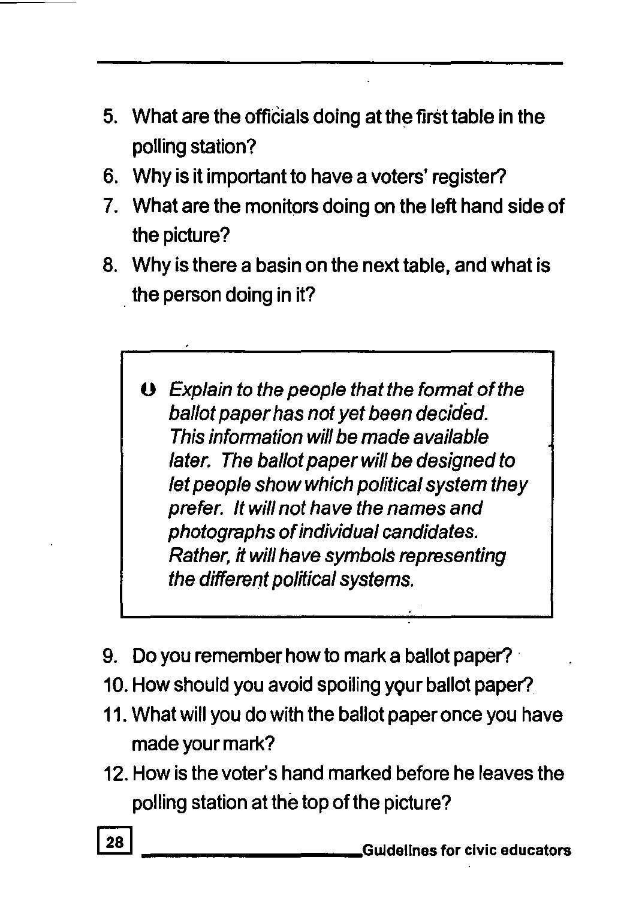- 5. What are the officials doing at the first table in the polling station?
- 6. Why is it important to have a voters' register?
- 7. What are the monitors doing on the left hand side of the picture?
- 8. Why is there a basin on the next table, and what is the person doing in it?
	- $\mathbf 0$  Explain to the people that the format of the ballot paper has not yet been decided. This information will be made available later. The ballot paper will be designed to let people show which political system they prefer. It will not have the names and photographs ofindividual candidates. Rather, it will have symbols representing the different political systems.
- 9. Do you remember how to mark a ballot paper? .
- 10. How should you avoid spoiling your ballot paper?
- 11. What will you do with the ballot paper once you have made your mark?
- 12. How is the voter's hand marked before he leaves the polling station at the top of the picture?